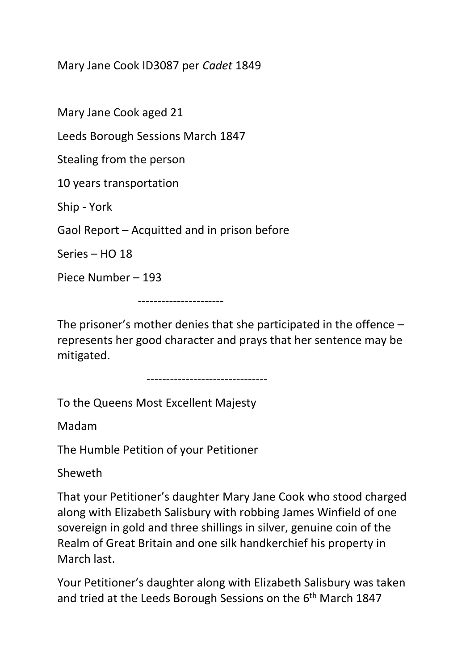Mary Jane Cook ID3087 per *Cadet* 1849

Mary Jane Cook aged 21

Leeds Borough Sessions March 1847

Stealing from the person

10 years transportation

Ship - York

Gaol Report – Acquitted and in prison before

Series – HO 18

Piece Number – 193

----------------------

The prisoner's mother denies that she participated in the offence – represents her good character and prays that her sentence may be mitigated.

-------------------------------

To the Queens Most Excellent Majesty

Madam

The Humble Petition of your Petitioner

Sheweth

That your Petitioner's daughter Mary Jane Cook who stood charged along with Elizabeth Salisbury with robbing James Winfield of one sovereign in gold and three shillings in silver, genuine coin of the Realm of Great Britain and one silk handkerchief his property in March last.

Your Petitioner's daughter along with Elizabeth Salisbury was taken and tried at the Leeds Borough Sessions on the 6<sup>th</sup> March 1847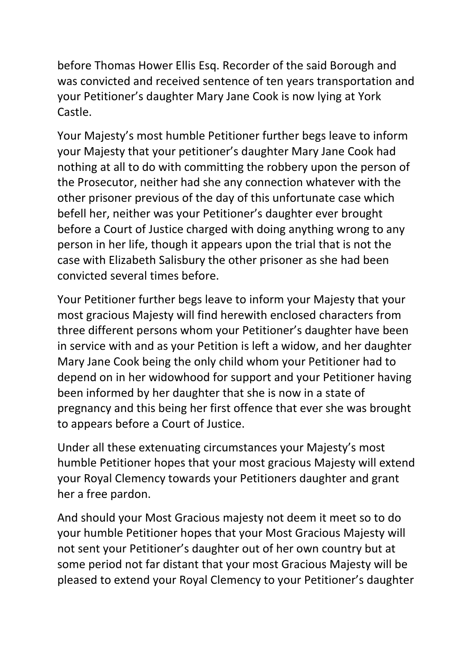before Thomas Hower Ellis Esq. Recorder of the said Borough and was convicted and received sentence of ten years transportation and your Petitioner's daughter Mary Jane Cook is now lying at York Castle.

Your Majesty's most humble Petitioner further begs leave to inform your Majesty that your petitioner's daughter Mary Jane Cook had nothing at all to do with committing the robbery upon the person of the Prosecutor, neither had she any connection whatever with the other prisoner previous of the day of this unfortunate case which befell her, neither was your Petitioner's daughter ever brought before a Court of Justice charged with doing anything wrong to any person in her life, though it appears upon the trial that is not the case with Elizabeth Salisbury the other prisoner as she had been convicted several times before.

Your Petitioner further begs leave to inform your Majesty that your most gracious Majesty will find herewith enclosed characters from three different persons whom your Petitioner's daughter have been in service with and as your Petition is left a widow, and her daughter Mary Jane Cook being the only child whom your Petitioner had to depend on in her widowhood for support and your Petitioner having been informed by her daughter that she is now in a state of pregnancy and this being her first offence that ever she was brought to appears before a Court of Justice.

Under all these extenuating circumstances your Majesty's most humble Petitioner hopes that your most gracious Majesty will extend your Royal Clemency towards your Petitioners daughter and grant her a free pardon.

And should your Most Gracious majesty not deem it meet so to do your humble Petitioner hopes that your Most Gracious Majesty will not sent your Petitioner's daughter out of her own country but at some period not far distant that your most Gracious Majesty will be pleased to extend your Royal Clemency to your Petitioner's daughter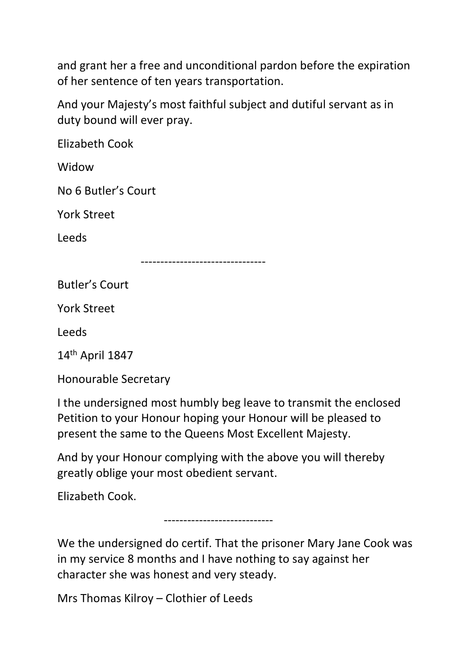and grant her a free and unconditional pardon before the expiration of her sentence of ten years transportation.

And your Majesty's most faithful subject and dutiful servant as in duty bound will ever pray.

Elizabeth Cook

Widow

No 6 Butler's Court

York Street

Leeds

--------------------------------

Butler's Court

York Street

Leeds

14th April 1847

Honourable Secretary

I the undersigned most humbly beg leave to transmit the enclosed Petition to your Honour hoping your Honour will be pleased to present the same to the Queens Most Excellent Majesty.

And by your Honour complying with the above you will thereby greatly oblige your most obedient servant.

----------------------------

Elizabeth Cook.

We the undersigned do certif. That the prisoner Mary Jane Cook was in my service 8 months and I have nothing to say against her character she was honest and very steady.

Mrs Thomas Kilroy – Clothier of Leeds